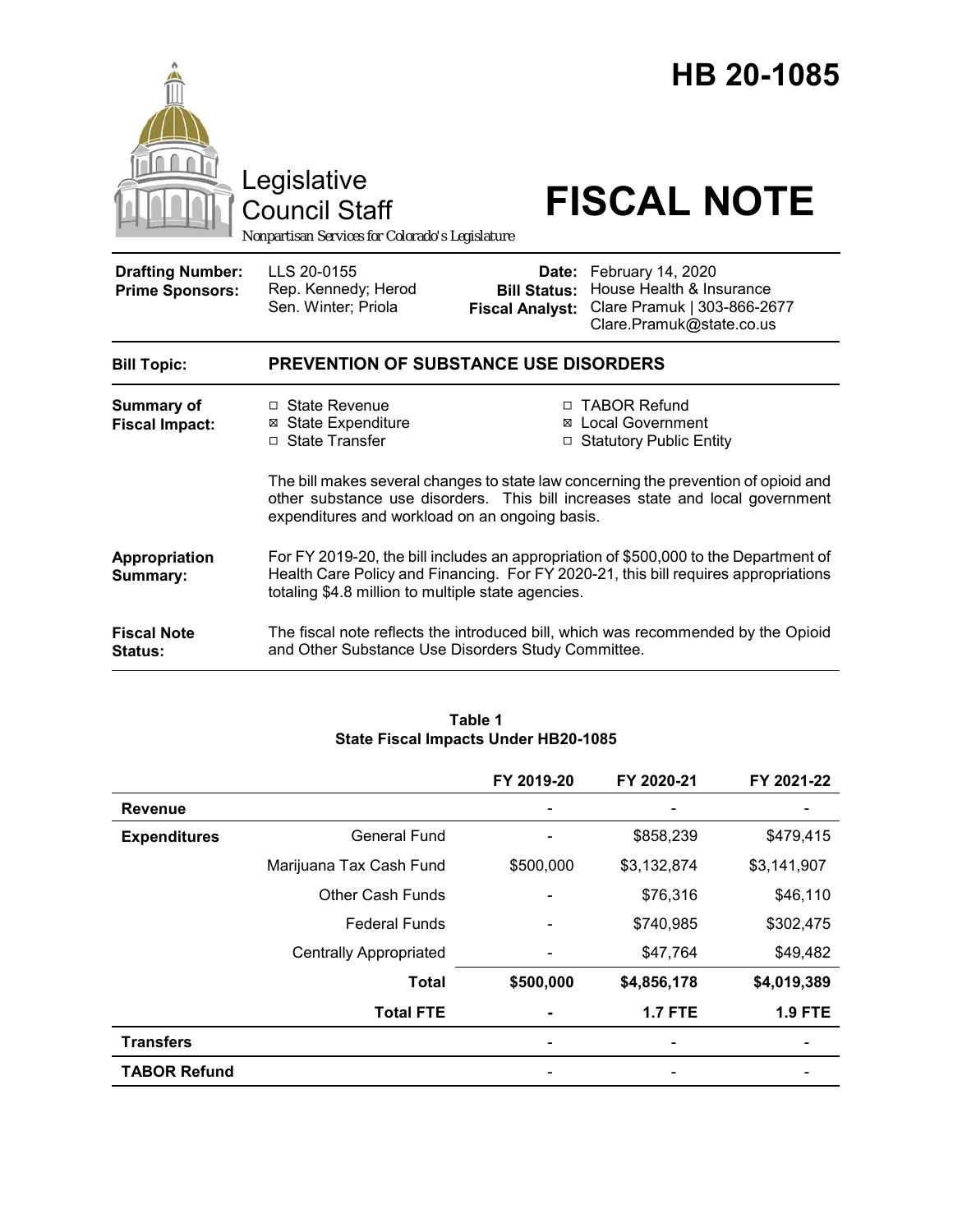

|                     |                               | FY 2019-20 | FY 2020-21     | FY 2021-22     |
|---------------------|-------------------------------|------------|----------------|----------------|
| <b>Revenue</b>      |                               | -          |                |                |
| <b>Expenditures</b> | <b>General Fund</b>           | ۰          | \$858,239      | \$479,415      |
|                     | Marijuana Tax Cash Fund       | \$500,000  | \$3,132,874    | \$3,141,907    |
|                     | <b>Other Cash Funds</b>       |            | \$76,316       | \$46,110       |
|                     | <b>Federal Funds</b>          |            | \$740,985      | \$302,475      |
|                     | <b>Centrally Appropriated</b> |            | \$47,764       | \$49,482       |
|                     | <b>Total</b>                  | \$500,000  | \$4,856,178    | \$4,019,389    |
|                     | <b>Total FTE</b>              |            | <b>1.7 FTE</b> | <b>1.9 FTE</b> |
| <b>Transfers</b>    |                               |            |                |                |
| <b>TABOR Refund</b> |                               |            |                |                |

#### **Table 1 State Fiscal Impacts Under HB20-1085**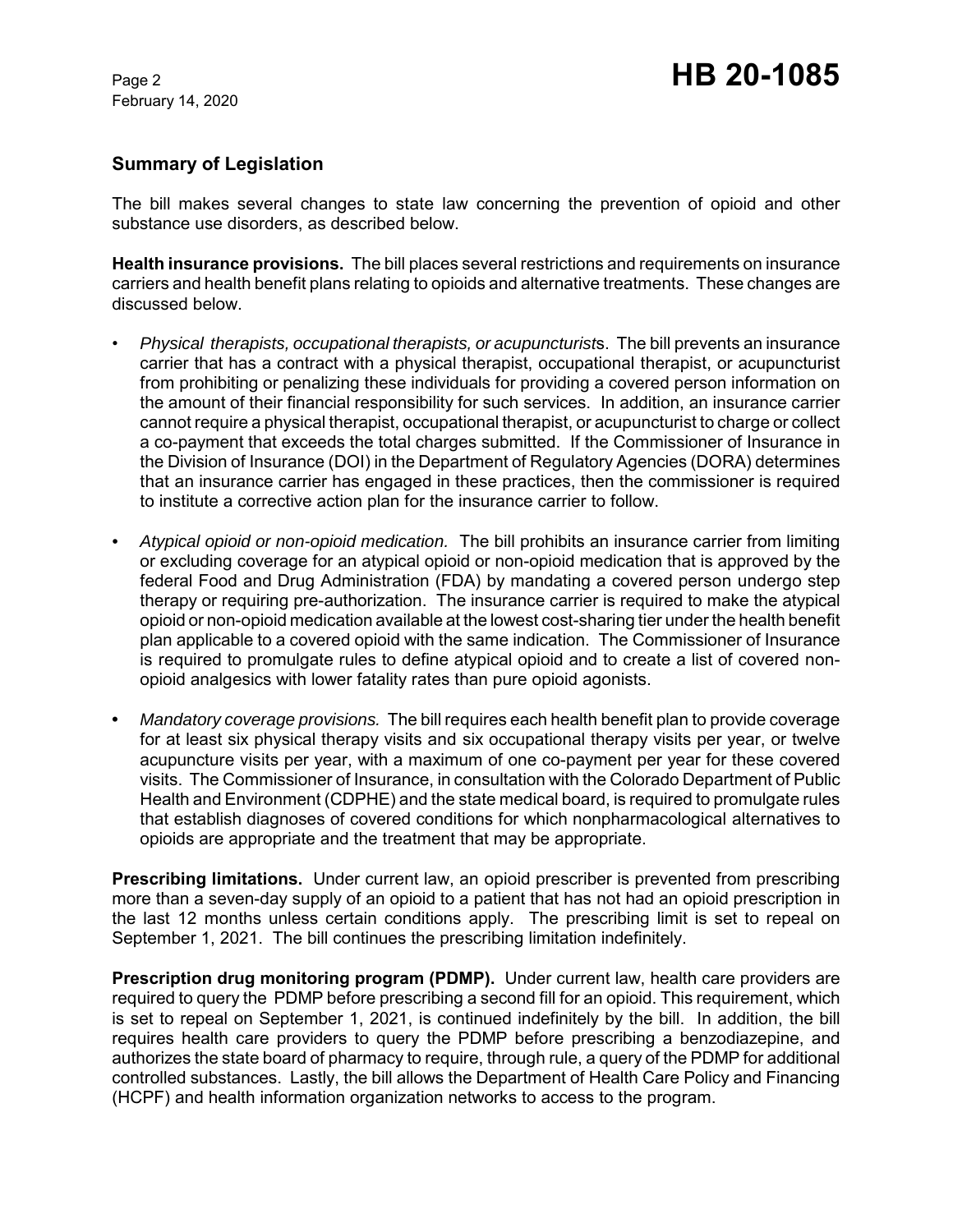## **Summary of Legislation**

The bill makes several changes to state law concerning the prevention of opioid and other substance use disorders, as described below.

**Health insurance provisions.** The bill places several restrictions and requirements on insurance carriers and health benefit plans relating to opioids and alternative treatments. These changes are discussed below.

- *Physical therapists, occupational therapists, or acupuncturist*s. The bill prevents an insurance carrier that has a contract with a physical therapist, occupational therapist, or acupuncturist from prohibiting or penalizing these individuals for providing a covered person information on the amount of their financial responsibility for such services. In addition, an insurance carrier cannot require a physical therapist, occupational therapist, or acupuncturist to charge or collect a co-payment that exceeds the total charges submitted. If the Commissioner of Insurance in the Division of Insurance (DOI) in the Department of Regulatory Agencies (DORA) determines that an insurance carrier has engaged in these practices, then the commissioner is required to institute a corrective action plan for the insurance carrier to follow.
- *Atypical opioid or non-opioid medication.* The bill prohibits an insurance carrier from limiting or excluding coverage for an atypical opioid or non-opioid medication that is approved by the federal Food and Drug Administration (FDA) by mandating a covered person undergo step therapy or requiring pre-authorization. The insurance carrier is required to make the atypical opioid or non-opioid medication available at the lowest cost-sharing tier under the health benefit plan applicable to a covered opioid with the same indication. The Commissioner of Insurance is required to promulgate rules to define atypical opioid and to create a list of covered nonopioid analgesics with lower fatality rates than pure opioid agonists.
- **•** *Mandatory coverage provisions.* The bill requires each health benefit plan to provide coverage for at least six physical therapy visits and six occupational therapy visits per year, or twelve acupuncture visits per year, with a maximum of one co-payment per year for these covered visits. The Commissioner of Insurance, in consultation with the Colorado Department of Public Health and Environment (CDPHE) and the state medical board, is required to promulgate rules that establish diagnoses of covered conditions for which nonpharmacological alternatives to opioids are appropriate and the treatment that may be appropriate.

**Prescribing limitations.** Under current law, an opioid prescriber is prevented from prescribing more than a seven-day supply of an opioid to a patient that has not had an opioid prescription in the last 12 months unless certain conditions apply. The prescribing limit is set to repeal on September 1, 2021. The bill continues the prescribing limitation indefinitely.

**Prescription drug monitoring program (PDMP).** Under current law, health care providers are required to query the PDMP before prescribing a second fill for an opioid. This requirement, which is set to repeal on September 1, 2021, is continued indefinitely by the bill. In addition, the bill requires health care providers to query the PDMP before prescribing a benzodiazepine, and authorizes the state board of pharmacy to require, through rule, a query of the PDMP for additional controlled substances. Lastly, the bill allows the Department of Health Care Policy and Financing (HCPF) and health information organization networks to access to the program.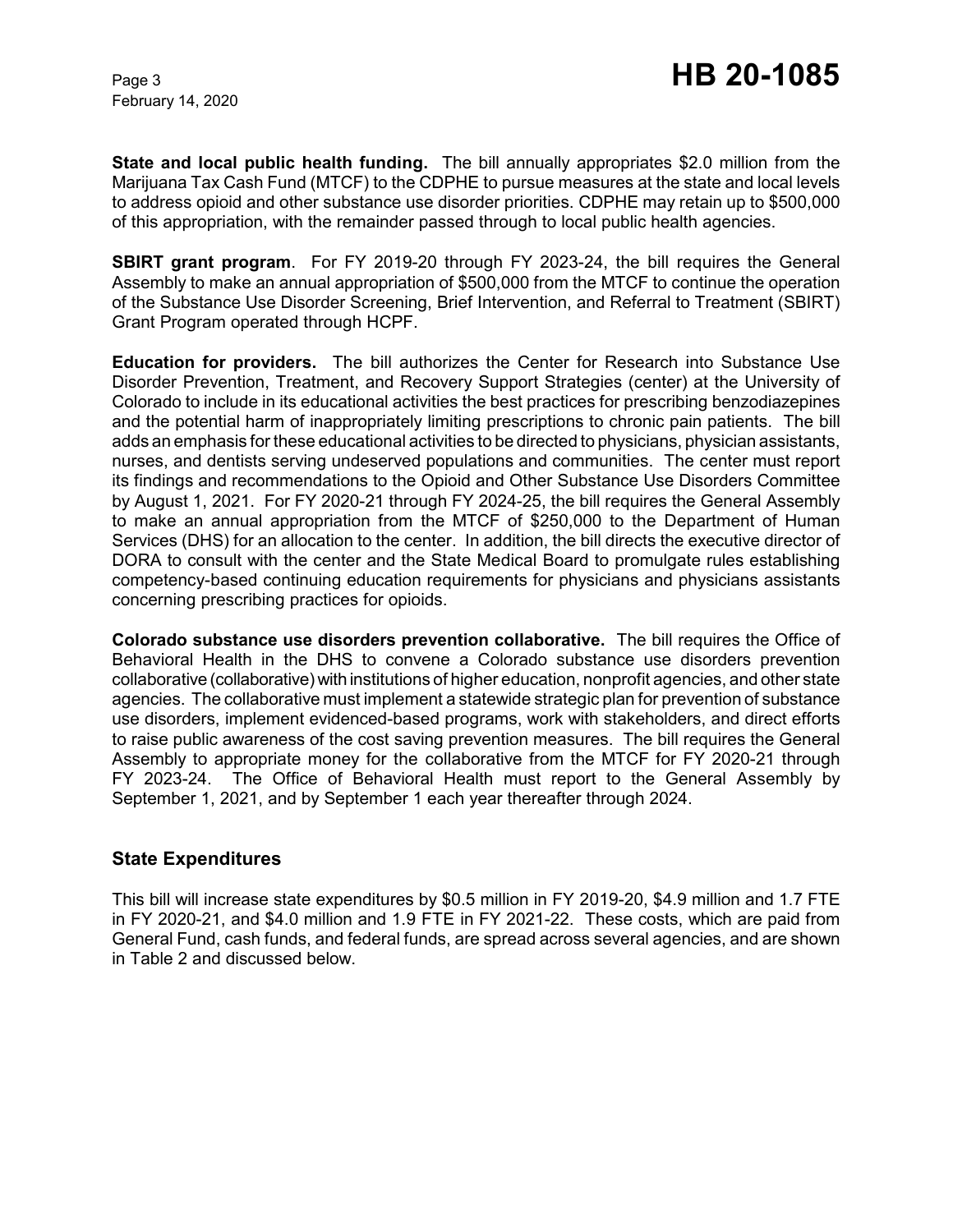**State and local public health funding.** The bill annually appropriates \$2.0 million from the Marijuana Tax Cash Fund (MTCF) to the CDPHE to pursue measures at the state and local levels to address opioid and other substance use disorder priorities. CDPHE may retain up to \$500,000 of this appropriation, with the remainder passed through to local public health agencies.

**SBIRT grant program**. For FY 2019-20 through FY 2023-24, the bill requires the General Assembly to make an annual appropriation of \$500,000 from the MTCF to continue the operation of the Substance Use Disorder Screening, Brief Intervention, and Referral to Treatment (SBIRT) Grant Program operated through HCPF.

**Education for providers.** The bill authorizes the Center for Research into Substance Use Disorder Prevention, Treatment, and Recovery Support Strategies (center) at the University of Colorado to include in its educational activities the best practices for prescribing benzodiazepines and the potential harm of inappropriately limiting prescriptions to chronic pain patients. The bill adds an emphasis for these educational activities to be directed to physicians, physician assistants, nurses, and dentists serving undeserved populations and communities. The center must report its findings and recommendations to the Opioid and Other Substance Use Disorders Committee by August 1, 2021. For FY 2020-21 through FY 2024-25, the bill requires the General Assembly to make an annual appropriation from the MTCF of \$250,000 to the Department of Human Services (DHS) for an allocation to the center. In addition, the bill directs the executive director of DORA to consult with the center and the State Medical Board to promulgate rules establishing competency-based continuing education requirements for physicians and physicians assistants concerning prescribing practices for opioids.

**Colorado substance use disorders prevention collaborative.** The bill requires the Office of Behavioral Health in the DHS to convene a Colorado substance use disorders prevention collaborative (collaborative) with institutions of higher education, nonprofit agencies, and other state agencies. The collaborative must implement a statewide strategic plan for prevention of substance use disorders, implement evidenced-based programs, work with stakeholders, and direct efforts to raise public awareness of the cost saving prevention measures. The bill requires the General Assembly to appropriate money for the collaborative from the MTCF for FY 2020-21 through FY 2023-24. The Office of Behavioral Health must report to the General Assembly by September 1, 2021, and by September 1 each year thereafter through 2024.

### **State Expenditures**

This bill will increase state expenditures by \$0.5 million in FY 2019-20, \$4.9 million and 1.7 FTE in FY 2020-21, and \$4.0 million and 1.9 FTE in FY 2021-22. These costs, which are paid from General Fund, cash funds, and federal funds, are spread across several agencies, and are shown in Table 2 and discussed below.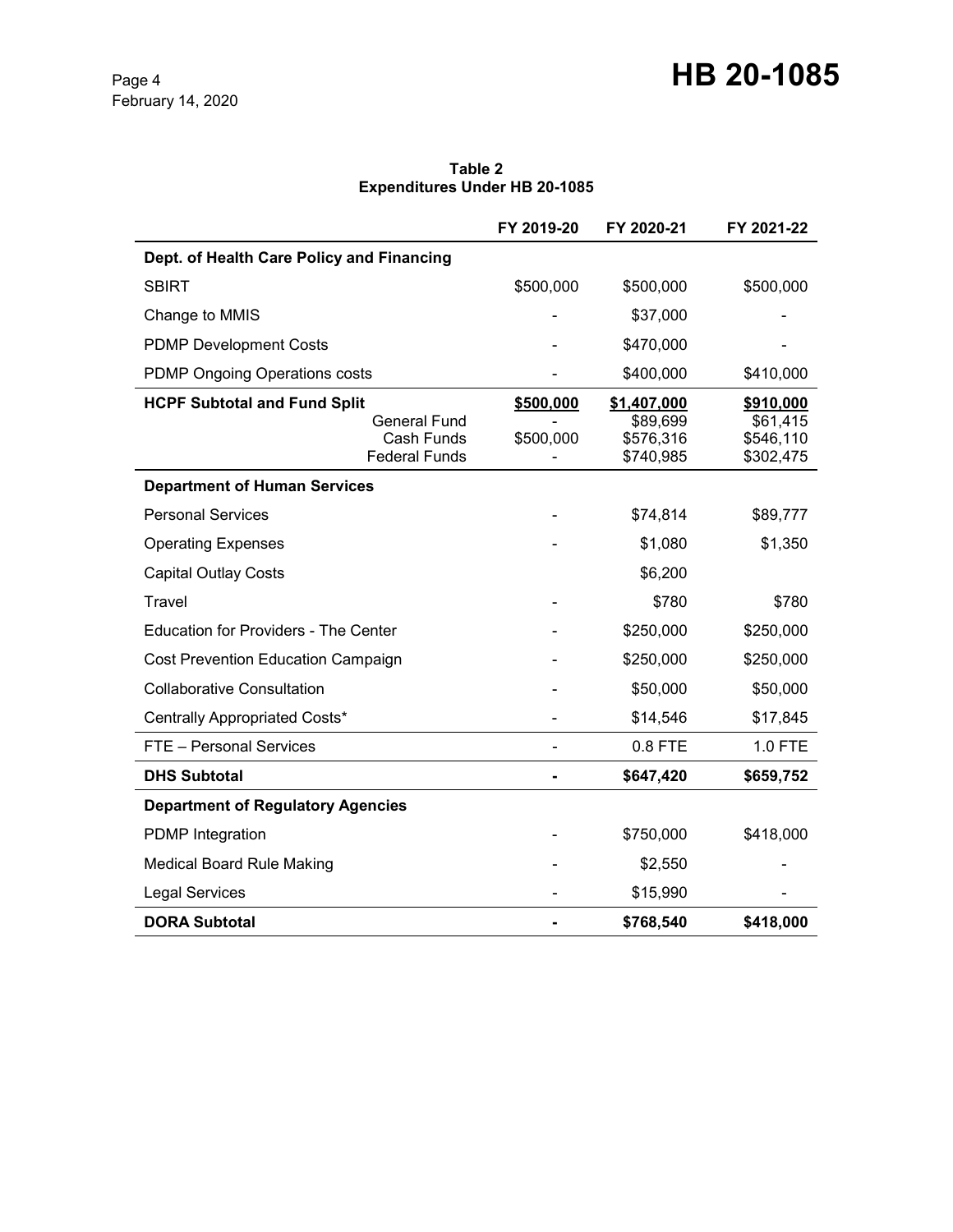**Table 2 Expenditures Under HB 20-1085**

|                                                                                                  | FY 2019-20             | FY 2020-21                                        | FY 2021-22                                      |
|--------------------------------------------------------------------------------------------------|------------------------|---------------------------------------------------|-------------------------------------------------|
| Dept. of Health Care Policy and Financing                                                        |                        |                                                   |                                                 |
| <b>SBIRT</b>                                                                                     | \$500,000              | \$500,000                                         | \$500,000                                       |
| Change to MMIS                                                                                   |                        | \$37,000                                          |                                                 |
| <b>PDMP Development Costs</b>                                                                    |                        | \$470,000                                         |                                                 |
| <b>PDMP Ongoing Operations costs</b>                                                             |                        | \$400,000                                         | \$410,000                                       |
| <b>HCPF Subtotal and Fund Split</b><br><b>General Fund</b><br>Cash Funds<br><b>Federal Funds</b> | \$500,000<br>\$500,000 | \$1,407,000<br>\$89,699<br>\$576,316<br>\$740,985 | \$910,000<br>\$61,415<br>\$546,110<br>\$302,475 |
| <b>Department of Human Services</b>                                                              |                        |                                                   |                                                 |
| <b>Personal Services</b>                                                                         |                        | \$74,814                                          | \$89,777                                        |
| <b>Operating Expenses</b>                                                                        |                        | \$1,080                                           | \$1,350                                         |
| <b>Capital Outlay Costs</b>                                                                      |                        | \$6,200                                           |                                                 |
| Travel                                                                                           |                        | \$780                                             | \$780                                           |
| <b>Education for Providers - The Center</b>                                                      |                        | \$250,000                                         | \$250,000                                       |
| Cost Prevention Education Campaign                                                               |                        | \$250,000                                         | \$250,000                                       |
| <b>Collaborative Consultation</b>                                                                |                        | \$50,000                                          | \$50,000                                        |
| Centrally Appropriated Costs*                                                                    |                        | \$14,546                                          | \$17,845                                        |
| FTE - Personal Services                                                                          |                        | 0.8 FTE                                           | 1.0 FTE                                         |
| <b>DHS Subtotal</b>                                                                              |                        | \$647,420                                         | \$659,752                                       |
| <b>Department of Regulatory Agencies</b>                                                         |                        |                                                   |                                                 |
| <b>PDMP</b> Integration                                                                          |                        | \$750,000                                         | \$418,000                                       |
| <b>Medical Board Rule Making</b>                                                                 |                        | \$2,550                                           |                                                 |
| <b>Legal Services</b>                                                                            |                        | \$15,990                                          |                                                 |
| <b>DORA Subtotal</b>                                                                             |                        | \$768,540                                         | \$418,000                                       |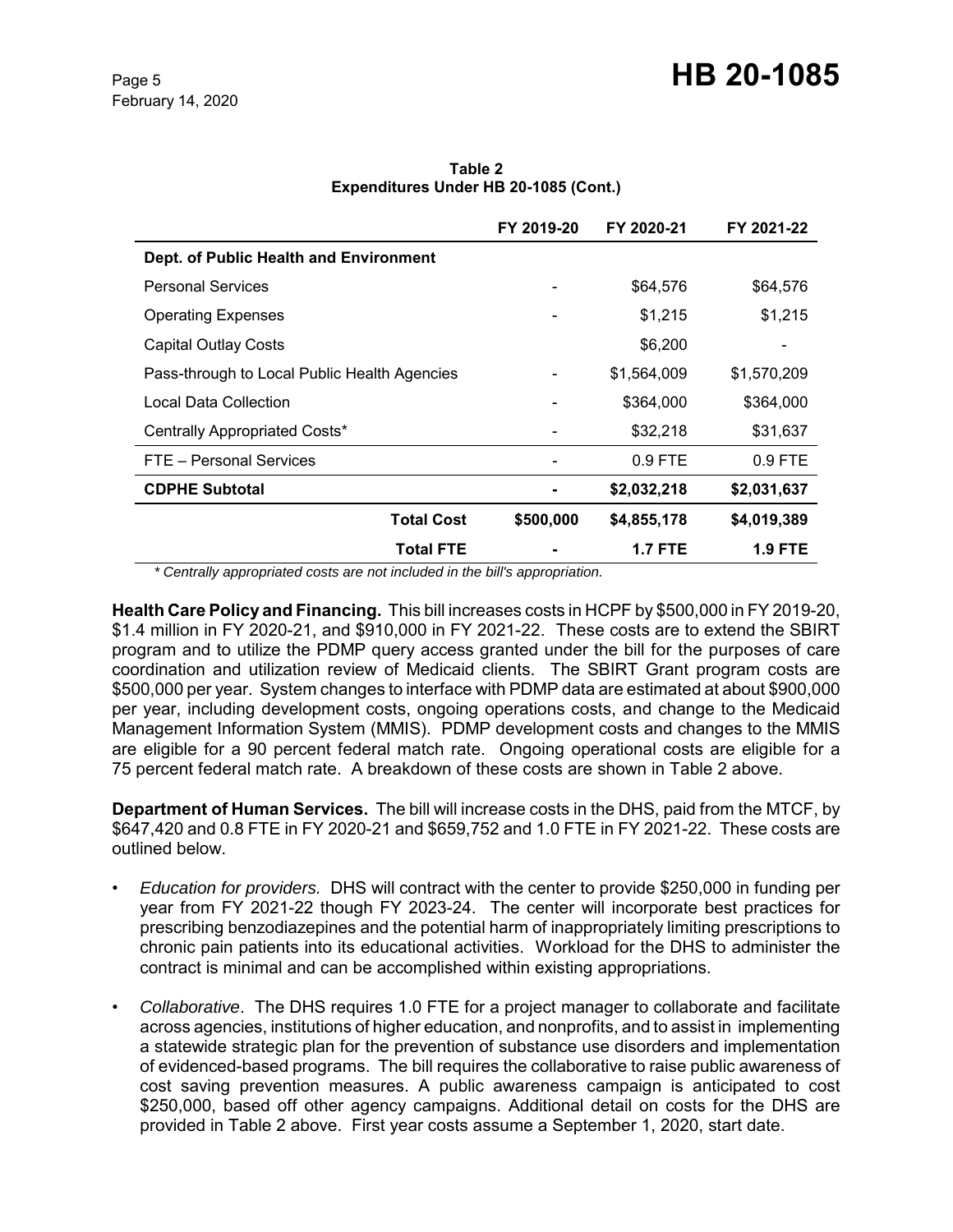|                                              | FY 2019-20 | FY 2020-21  | FY 2021-22  |
|----------------------------------------------|------------|-------------|-------------|
| Dept. of Public Health and Environment       |            |             |             |
| <b>Personal Services</b>                     |            | \$64,576    | \$64,576    |
| <b>Operating Expenses</b>                    |            | \$1,215     | \$1,215     |
| <b>Capital Outlay Costs</b>                  |            | \$6,200     |             |
| Pass-through to Local Public Health Agencies |            | \$1,564,009 | \$1,570,209 |
| Local Data Collection                        |            | \$364,000   | \$364,000   |
| Centrally Appropriated Costs*                |            | \$32,218    | \$31,637    |
| FTE - Personal Services                      |            | $0.9$ FTE   | $0.9$ FTE   |
| <b>CDPHE Subtotal</b>                        |            | \$2,032,218 | \$2,031,637 |
| <b>Total Cost</b>                            | \$500,000  | \$4,855,178 | \$4,019,389 |
| <b>Total FTE</b>                             |            | 1.7 FTE     | 1.9 FTE     |

**Table 2 Expenditures Under HB 20-1085 (Cont.)**

 *\* Centrally appropriated costs are not included in the bill's appropriation.*

**Health Care Policy and Financing.** This bill increases costs in HCPF by \$500,000 in FY 2019-20, \$1.4 million in FY 2020-21, and \$910,000 in FY 2021-22. These costs are to extend the SBIRT program and to utilize the PDMP query access granted under the bill for the purposes of care coordination and utilization review of Medicaid clients. The SBIRT Grant program costs are \$500,000 per year. System changes to interface with PDMP data are estimated at about \$900,000 per year, including development costs, ongoing operations costs, and change to the Medicaid Management Information System (MMIS). PDMP development costs and changes to the MMIS are eligible for a 90 percent federal match rate. Ongoing operational costs are eligible for a 75 percent federal match rate. A breakdown of these costs are shown in Table 2 above.

**Department of Human Services.** The bill will increase costs in the DHS, paid from the MTCF, by \$647,420 and 0.8 FTE in FY 2020-21 and \$659,752 and 1.0 FTE in FY 2021-22. These costs are outlined below.

- *Education for providers.* DHS will contract with the center to provide \$250,000 in funding per year from FY 2021-22 though FY 2023-24. The center will incorporate best practices for prescribing benzodiazepines and the potential harm of inappropriately limiting prescriptions to chronic pain patients into its educational activities. Workload for the DHS to administer the contract is minimal and can be accomplished within existing appropriations.
- *Collaborative*. The DHS requires 1.0 FTE for a project manager to collaborate and facilitate across agencies, institutions of higher education, and nonprofits, and to assist in implementing a statewide strategic plan for the prevention of substance use disorders and implementation of evidenced-based programs. The bill requires the collaborative to raise public awareness of cost saving prevention measures. A public awareness campaign is anticipated to cost \$250,000, based off other agency campaigns. Additional detail on costs for the DHS are provided in Table 2 above. First year costs assume a September 1, 2020, start date.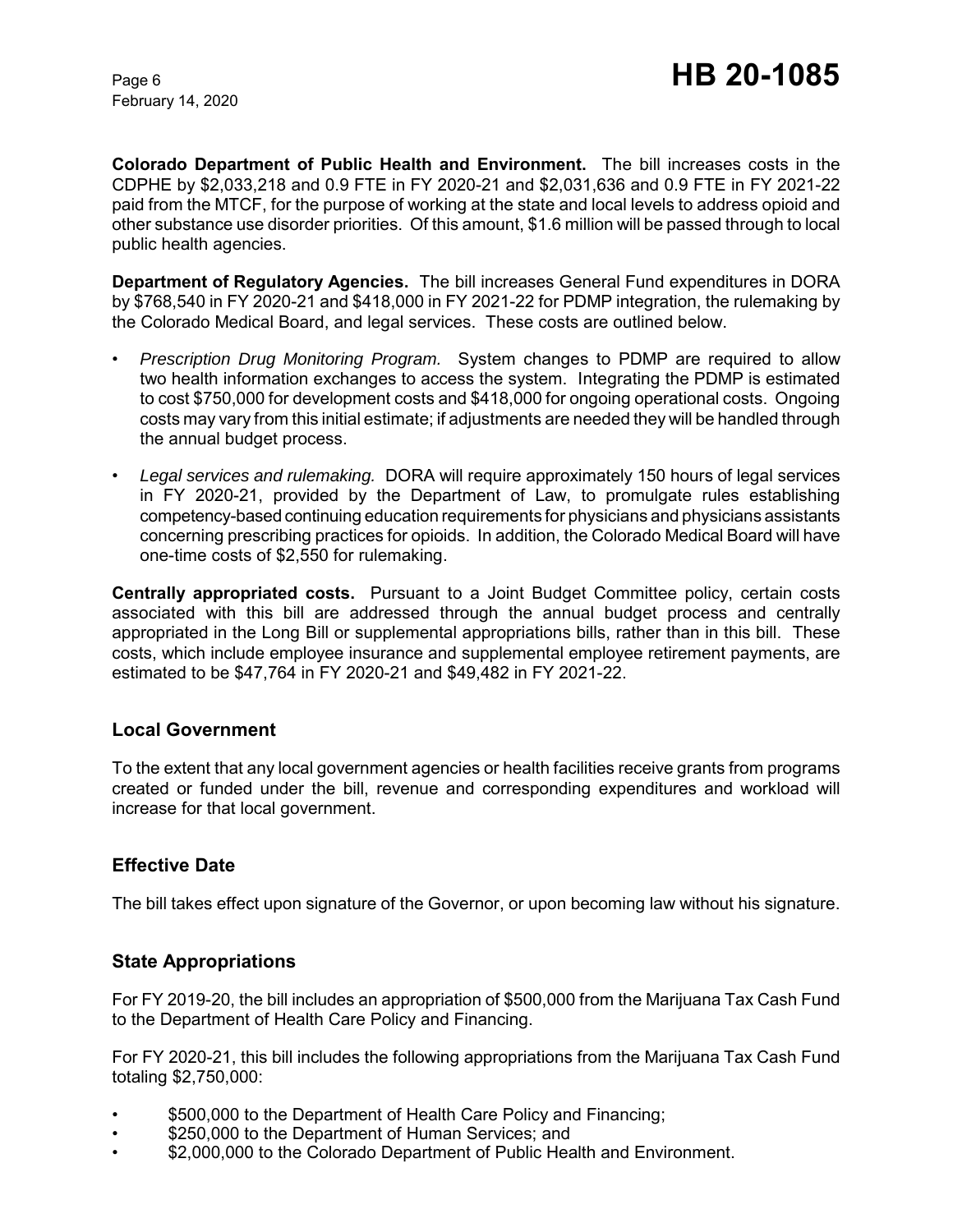**Colorado Department of Public Health and Environment.** The bill increases costs in the CDPHE by \$2,033,218 and 0.9 FTE in FY 2020-21 and \$2,031,636 and 0.9 FTE in FY 2021-22 paid from the MTCF, for the purpose of working at the state and local levels to address opioid and other substance use disorder priorities. Of this amount, \$1.6 million will be passed through to local public health agencies.

**Department of Regulatory Agencies.** The bill increases General Fund expenditures in DORA by \$768,540 in FY 2020-21 and \$418,000 in FY 2021-22 for PDMP integration, the rulemaking by the Colorado Medical Board, and legal services. These costs are outlined below.

- *Prescription Drug Monitoring Program.* System changes to PDMP are required to allow two health information exchanges to access the system. Integrating the PDMP is estimated to cost \$750,000 for development costs and \$418,000 for ongoing operational costs. Ongoing costs may vary from this initial estimate; if adjustments are needed they will be handled through the annual budget process.
- *Legal services and rulemaking.* DORA will require approximately 150 hours of legal services in FY 2020-21, provided by the Department of Law, to promulgate rules establishing competency-based continuing education requirements for physicians and physicians assistants concerning prescribing practices for opioids. In addition, the Colorado Medical Board will have one-time costs of \$2,550 for rulemaking.

**Centrally appropriated costs.** Pursuant to a Joint Budget Committee policy, certain costs associated with this bill are addressed through the annual budget process and centrally appropriated in the Long Bill or supplemental appropriations bills, rather than in this bill. These costs, which include employee insurance and supplemental employee retirement payments, are estimated to be \$47,764 in FY 2020-21 and \$49,482 in FY 2021-22.

### **Local Government**

To the extent that any local government agencies or health facilities receive grants from programs created or funded under the bill, revenue and corresponding expenditures and workload will increase for that local government.

# **Effective Date**

The bill takes effect upon signature of the Governor, or upon becoming law without his signature.

# **State Appropriations**

For FY 2019-20, the bill includes an appropriation of \$500,000 from the Marijuana Tax Cash Fund to the Department of Health Care Policy and Financing.

For FY 2020-21, this bill includes the following appropriations from the Marijuana Tax Cash Fund totaling \$2,750,000:

- \$500,000 to the Department of Health Care Policy and Financing;
- \$250,000 to the Department of Human Services; and
- \$2,000,000 to the Colorado Department of Public Health and Environment.